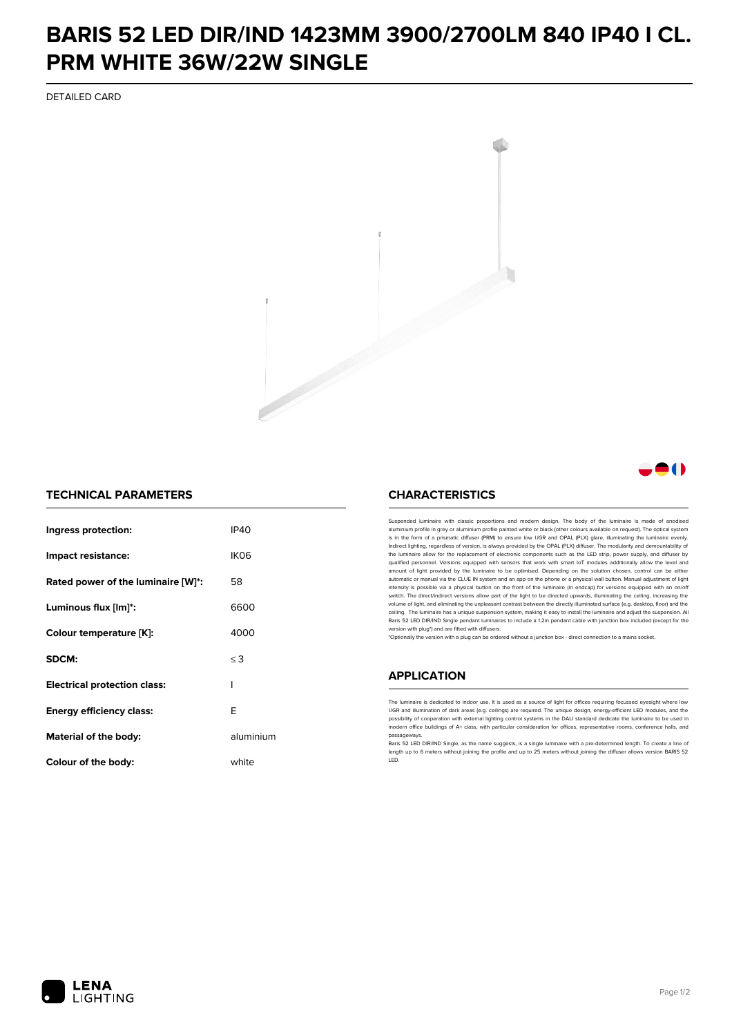## **BARIS 52 LED DIR/IND 1423MM 3900/2700LM 840 IP40 I CL. PRM WHITE 36W/22W SINGLE**

DETAILED CARD



### 81 N

### **TECHNICAL PARAMETERS**

| Ingress protection:                 | IP40      |
|-------------------------------------|-----------|
| Impact resistance:                  | IK06      |
| Rated power of the luminaire [W]*:  | 58        |
| Luminous flux [lm]*:                | 6600      |
| Colour temperature [K]:             | 4000      |
| SDCM:                               | $\leq$ 3  |
| <b>Electrical protection class:</b> | ı         |
| Energy efficiency class:            | E         |
| Material of the body:               | aluminium |
| Colour of the body:                 | white     |

#### **CHARACTERISTICS**

Suspended luminaire with classic proportions and modern design. The body of the luminaire is made of an aluminium profile in grey or aluminium profile painted white or black (other colours available on request). The optical system is in the form of a prismatic diffuser (PRM) to ensure low UGR and OPAL (PLX) glare, illuminating the luminaire evenly.<br>Indirect lighting, regardless of version, is always provided by the OPAL (PLX) diffuser. The modularit the luminaire allow for the replacement of electronic components such as the LED strip, power supply, and diffuser by qualified personnel. Versions equipped with sensors that work with smart IoT modules additionally allow the level and amount of light provided by the luminaire to be optimised. Depending on the solution chosen, control can be either automatic or manual via the CLUE IN system and an app on the phone or a physical wall button. Manual adjustment of light<br>intensity is possible via a physical button on the front of the luminaire (in endcap) for versions eq switch. The direct/indirect versions allow part of the light to be directed upwards, illuminating the ceiling, increasing the volume of light, and eliminating the unpleasant contrast between the directly illuminated surface (e.g. desktop, floor) and the ceiling. The luminaire has a unique suspension system, making it easy to install the luminaire and adjust the suspension. All Baris 52 LED DIR/IND Single pendant Iuminaires to include a 1.2m pendant cable with junction box included (except for the<br>version with plug\*) and are fitted with diffusers.

\*Optionally the version with a plug can be ordered without a junction box - direct connection to a mains socket.

#### **APPLICATION**

The luminaire is dedicated to indoor use. It is used as a source of light for offices requiring focussed eyesight where low UGR and illumination of dark areas (e.g. ceilings) are required. The unique design, energy-efficient LED modules, and the<br>possibility of cooperation with external lighting control systems in the DALI standard dedicate the modern office buildings of A+ class, with particular consideration for offices, representative rooms, conference halls, and passage

.<br>Baris 52 LED DIR/IND Single, as the name suggests, is a single luminaire with a pre-determined length. To create a line of length up to 6 meters without joining the profile and up to 25 meters without joining the diffuser allows version BARIS 52 LED.